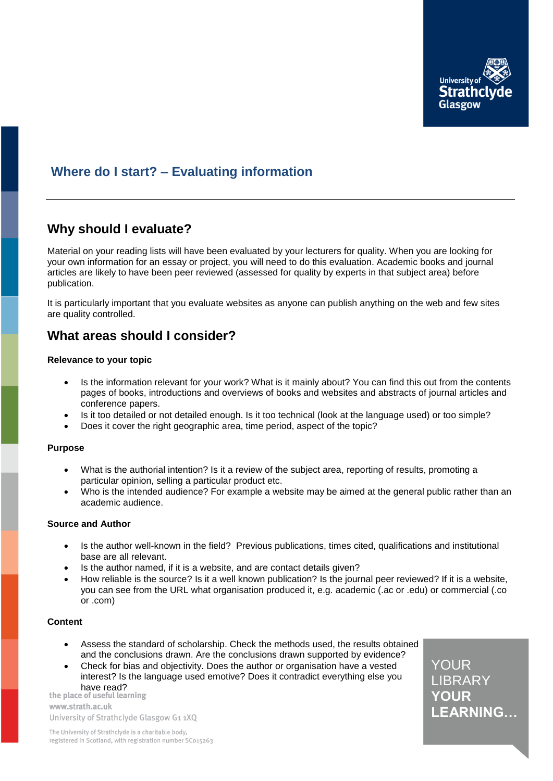

# **Where do I start? – Evaluating information**

# **Why should I evaluate?**

Material on your reading lists will have been evaluated by your lecturers for quality. When you are looking for your own information for an essay or project, you will need to do this evaluation. Academic books and journal articles are likely to have been peer reviewed (assessed for quality by experts in that subject area) before publication.

It is particularly important that you evaluate websites as anyone can publish anything on the web and few sites are quality controlled.

## **What areas should I consider?**

#### **Relevance to your topic**

- Is the information relevant for your work? What is it mainly about? You can find this out from the contents pages of books, introductions and overviews of books and websites and abstracts of journal articles and conference papers.
- Is it too detailed or not detailed enough. Is it too technical (look at the language used) or too simple?
- Does it cover the right geographic area, time period, aspect of the topic?

#### **Purpose**

- What is the authorial intention? Is it a review of the subject area, reporting of results, promoting a particular opinion, selling a particular product etc.
- Who is the intended audience? For example a website may be aimed at the general public rather than an academic audience.

### **Source and Author**

- Is the author well-known in the field? Previous publications, times cited, qualifications and institutional base are all relevant.
- Is the author named, if it is a website, and are contact details given?
- How reliable is the source? Is it a well known publication? Is the journal peer reviewed? If it is a website, you can see from the URL what organisation produced it, e.g. academic (.ac or .edu) or commercial (.co or .com)

#### **Content**

- Assess the standard of scholarship. Check the methods used, the results obtained and the conclusions drawn. Are the conclusions drawn supported by evidence?
- Check for bias and objectivity. Does the author or organisation have a vested interest? Is the language used emotive? Does it contradict everything else you have read?<br>the place of useful learning

www.strath.ac.uk University of Strathclyde Glasgow G1 1XQ LIBRARY YOUR **No. 1** LEARNING... YOUR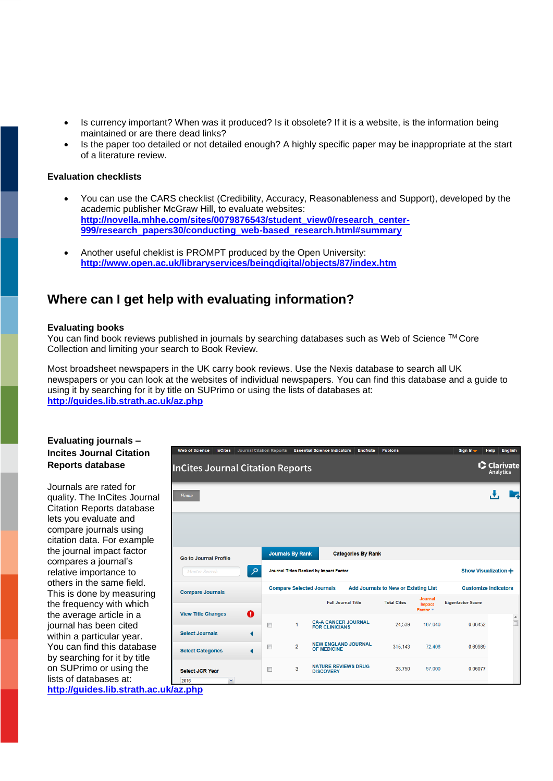- Is currency important? When was it produced? Is it obsolete? If it is a website, is the information being maintained or are there dead links?
- Is the paper too detailed or not detailed enough? A highly specific paper may be inappropriate at the start of a literature review.

#### **Evaluation checklists**

- You can use the CARS checklist (Credibility, Accuracy, Reasonableness and Support), developed by the academic publisher McGraw Hill, to evaluate websites: **[http://novella.mhhe.com/sites/0079876543/student\\_view0/research\\_center-](http://novella.mhhe.com/sites/0079876543/student_view0/research_center-999/research_papers30/conducting_web-based_research.html%23summary)[999/research\\_papers30/conducting\\_web-based\\_research.html#summary](http://novella.mhhe.com/sites/0079876543/student_view0/research_center-999/research_papers30/conducting_web-based_research.html%23summary)**
- Another useful cheklist is PROMPT produced by the Open University: **<http://www.open.ac.uk/libraryservices/beingdigital/objects/87/index.htm>**

## **Where can I get help with evaluating information?**

#### **Evaluating books**

You can find book reviews published in journals by searching databases such as Web of Science ™ Core Collection and limiting your search to Book Review.

Most broadsheet newspapers in the UK carry book reviews. Use the Nexis database to search all UK newspapers or you can look at the websites of individual newspapers. You can find this database and a guide to using it by searching for it by title on SUPrimo or using the lists of databases at: **<http://guides.lib.strath.ac.uk/az.php>**

### **Evaluating journals – Incites Journal Citation Reports database**

Journals are rated for quality. The InCites Journal Citation Reports database lets you evaluate and compare journals using citation data. For example the journal impact factor compares a journal's relative importance to others in the same field. This is done by measuring the frequency with which the average article in a journal has been cited within a particular year. You can find this database by searching for it by title on SUPrimo or using the lists of databases at: **<http://guides.lib.strath.ac.uk/az.php>**

| <b>Web of Science</b>                   | <b>InCites</b>                      | <b>Journal Citation Reports</b> |                                                                                 |                      | <b>Essential Science Indicators</b>                 | <b>EndNote</b> | <b>Publons</b>     |                               | Sign In-                    | Help                     | English  |  |
|-----------------------------------------|-------------------------------------|---------------------------------|---------------------------------------------------------------------------------|----------------------|-----------------------------------------------------|----------------|--------------------|-------------------------------|-----------------------------|--------------------------|----------|--|
| <b>InCites Journal Citation Reports</b> |                                     |                                 |                                                                                 |                      |                                                     |                |                    |                               |                             | C Clarivate<br>Analytics |          |  |
| Home                                    |                                     |                                 |                                                                                 |                      |                                                     |                |                    |                               |                             |                          |          |  |
|                                         |                                     |                                 |                                                                                 |                      |                                                     |                |                    |                               |                             |                          |          |  |
| <b>Go to Journal Profile</b>            |                                     |                                 | <b>Journals By Rank</b><br><b>Categories By Rank</b>                            |                      |                                                     |                |                    |                               |                             |                          |          |  |
| Master Search                           |                                     | مر                              | Journal Titles Ranked by Impact Factor                                          | Show Visualization + |                                                     |                |                    |                               |                             |                          |          |  |
| <b>Compare Journals</b>                 |                                     |                                 | <b>Compare Selected Journals</b><br><b>Add Journals to New or Existing List</b> |                      |                                                     |                |                    |                               | <b>Customize Indicators</b> |                          |          |  |
|                                         |                                     |                                 |                                                                                 |                      | <b>Full Journal Title</b>                           |                | <b>Total Cites</b> | Journal<br>Impact<br>Factor + | <b>Eigenfactor Score</b>    |                          |          |  |
| <b>Select Journals</b>                  | ⋒<br><b>View Title Changes</b><br>⋖ |                                 | $\Box$                                                                          | 1                    | <b>CA-A CANCER JOURNAL</b><br><b>FOR CLINICIANS</b> |                | 24,539             | 187.040                       | 0.06452                     |                          | $\equiv$ |  |
| <b>Select Categories</b>                |                                     |                                 | n                                                                               | $\overline{2}$       | <b>NEW ENGLAND JOURNAL</b><br><b>OF MEDICINE</b>    |                | 315,143            | 72.406                        | 0.69989                     |                          |          |  |
| <b>Select JCR Year</b>                  |                                     |                                 | $\begin{array}{c} \square \end{array}$                                          | 3                    | <b>NATURE REVIEWS DRUG</b><br><b>DISCOVERY</b>      |                | 28,750             | 57.000                        | 0.06077                     |                          |          |  |
| 2016<br>klaz nhn                        | v                                   |                                 |                                                                                 |                      |                                                     |                |                    |                               |                             |                          |          |  |